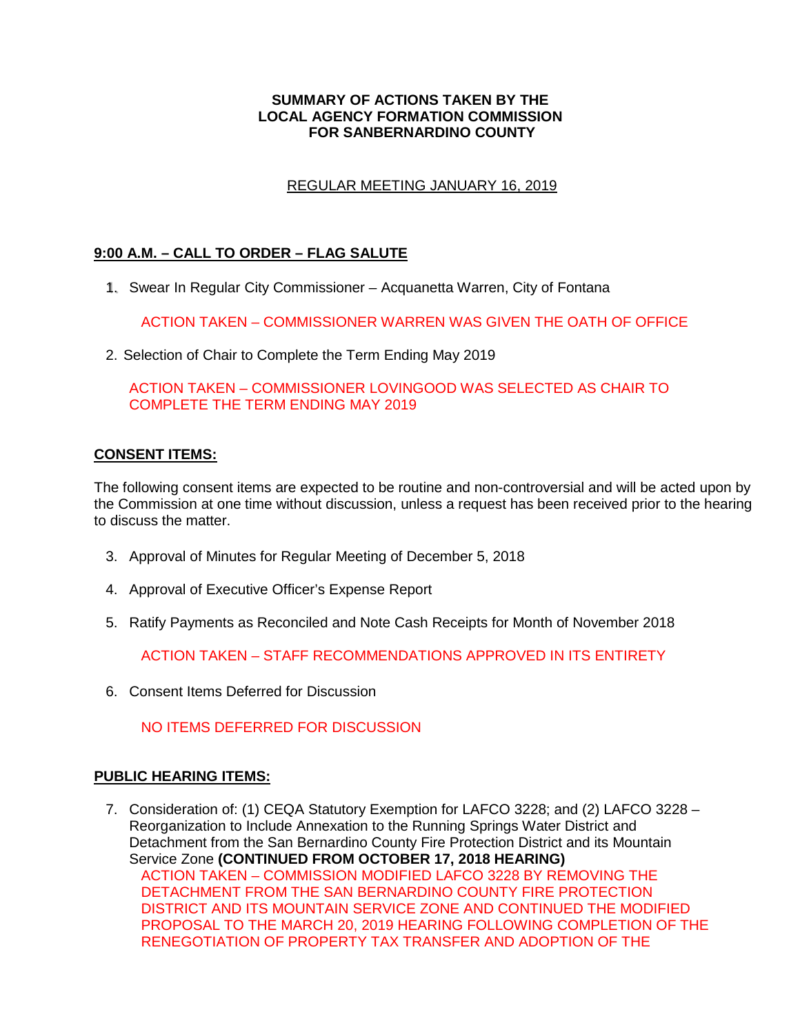### **SUMMARY OF ACTIONS TAKEN BY THE LOCAL AGENCY FORMATION COMMISSION FOR SANBERNARDINO COUNTY**

# REGULAR MEETING JANUARY 16, 2019

# **9:00 A.M. – CALL TO ORDER – FLAG SALUTE**

1. Swear In Regular City Commissioner – Acquanetta Warren, City of Fontana 1.

ACTION TAKEN – COMMISSIONER WARREN WAS GIVEN THE OATH OF OFFICE

2. Selection of Chair to Complete the Term Ending May 2019

ACTION TAKEN – COMMISSIONER LOVINGOOD WAS SELECTED AS CHAIR TO COMPLETE THE TERM ENDING MAY 2019

# **CONSENT ITEMS:**

The following consent items are expected to be routine and non-controversial and will be acted upon by the Commission at one time without discussion, unless a request has been received prior to the hearing to discuss the matter.

- 3. Approval of Minutes for Regular Meeting of December 5, 2018
- 4. Approval of Executive Officer's Expense Report
- 5. Ratify Payments as Reconciled and Note Cash Receipts for Month of November 2018

ACTION TAKEN – STAFF RECOMMENDATIONS APPROVED IN ITS ENTIRETY

6. Consent Items Deferred for Discussion

NO ITEMS DEFERRED FOR DISCUSSION

# **PUBLIC HEARING ITEMS:**

7. Consideration of: (1) CEQA Statutory Exemption for LAFCO 3228; and (2) LAFCO 3228 – Reorganization to Include Annexation to the Running Springs Water District and Detachment from the San Bernardino County Fire Protection District and its Mountain Service Zone **(CONTINUED FROM OCTOBER 17, 2018 HEARING)** ACTION TAKEN – COMMISSION MODIFIED LAFCO 3228 BY REMOVING THE DETACHMENT FROM THE SAN BERNARDINO COUNTY FIRE PROTECTION DISTRICT AND ITS MOUNTAIN SERVICE ZONE AND CONTINUED THE MODIFIED PROPOSAL TO THE MARCH 20, 2019 HEARING FOLLOWING COMPLETION OF THE RENEGOTIATION OF PROPERTY TAX TRANSFER AND ADOPTION OF THE